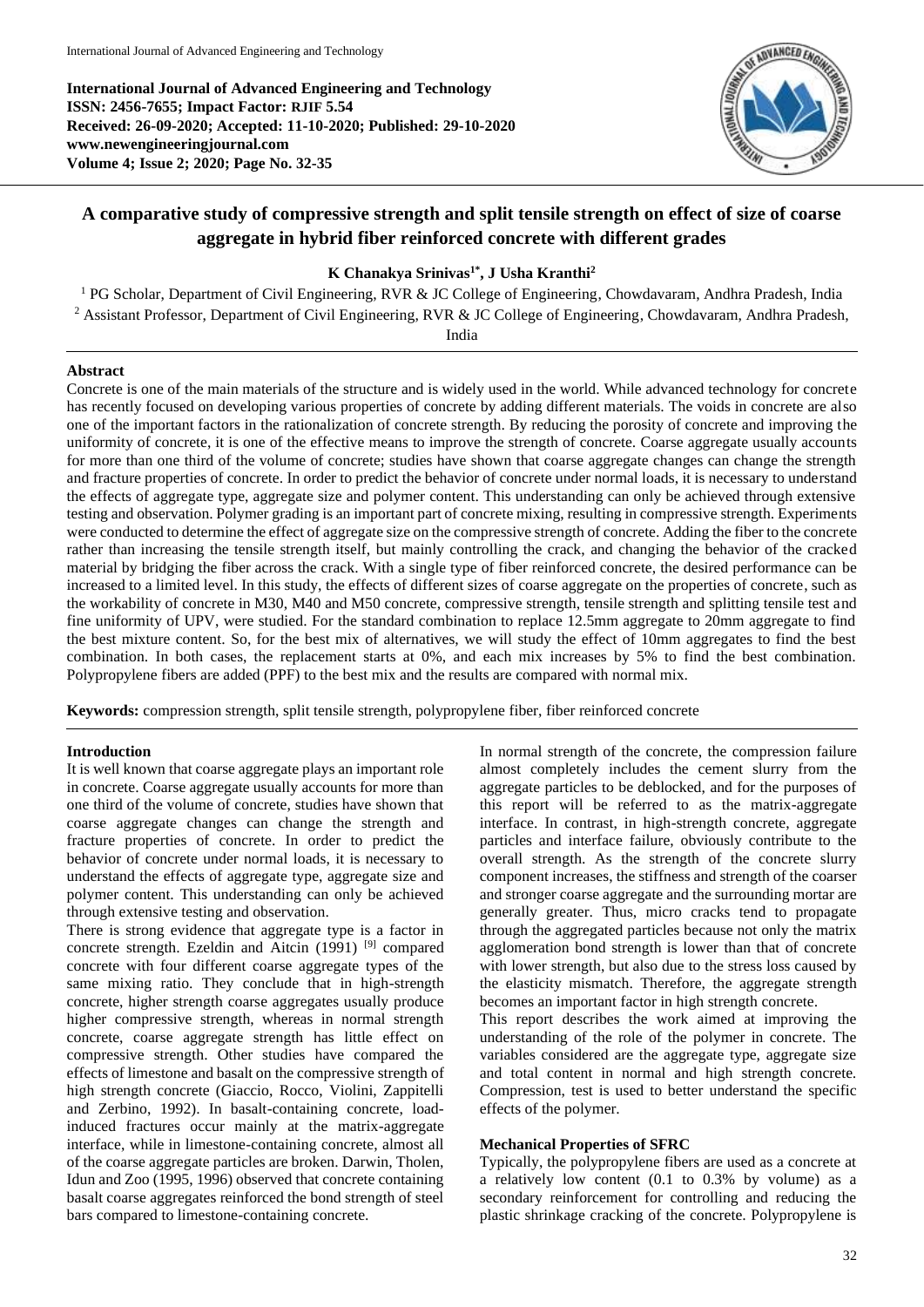**International Journal of Advanced Engineering and Technology ISSN: 2456-7655; Impact Factor: RJIF 5.54 Received: 26-09-2020; Accepted: 11-10-2020; Published: 29-10-2020 www.newengineeringjournal.com Volume 4; Issue 2; 2020; Page No. 32-35**



# **A comparative study of compressive strength and split tensile strength on effect of size of coarse aggregate in hybrid fiber reinforced concrete with different grades**

# **K Chanakya Srinivas1\*, J Usha Kranthi<sup>2</sup>**

<sup>1</sup> PG Scholar, Department of Civil Engineering, RVR & JC College of Engineering, Chowdavaram, Andhra Pradesh, India <sup>2</sup> Assistant Professor, Department of Civil Engineering, RVR & JC College of Engineering, Chowdavaram, Andhra Pradesh,

India

# **Abstract**

Concrete is one of the main materials of the structure and is widely used in the world. While advanced technology for concrete has recently focused on developing various properties of concrete by adding different materials. The voids in concrete are also one of the important factors in the rationalization of concrete strength. By reducing the porosity of concrete and improving the uniformity of concrete, it is one of the effective means to improve the strength of concrete. Coarse aggregate usually accounts for more than one third of the volume of concrete; studies have shown that coarse aggregate changes can change the strength and fracture properties of concrete. In order to predict the behavior of concrete under normal loads, it is necessary to understand the effects of aggregate type, aggregate size and polymer content. This understanding can only be achieved through extensive testing and observation. Polymer grading is an important part of concrete mixing, resulting in compressive strength. Experiments were conducted to determine the effect of aggregate size on the compressive strength of concrete. Adding the fiber to the concrete rather than increasing the tensile strength itself, but mainly controlling the crack, and changing the behavior of the cracked material by bridging the fiber across the crack. With a single type of fiber reinforced concrete, the desired performance can be increased to a limited level. In this study, the effects of different sizes of coarse aggregate on the properties of concrete, such as the workability of concrete in M30, M40 and M50 concrete, compressive strength, tensile strength and splitting tensile test and fine uniformity of UPV, were studied. For the standard combination to replace 12.5mm aggregate to 20mm aggregate to find the best mixture content. So, for the best mix of alternatives, we will study the effect of 10mm aggregates to find the best combination. In both cases, the replacement starts at 0%, and each mix increases by 5% to find the best combination. Polypropylene fibers are added (PPF) to the best mix and the results are compared with normal mix.

**Keywords:** compression strength, split tensile strength, polypropylene fiber, fiber reinforced concrete

# **Introduction**

It is well known that coarse aggregate plays an important role in concrete. Coarse aggregate usually accounts for more than one third of the volume of concrete, studies have shown that coarse aggregate changes can change the strength and fracture properties of concrete. In order to predict the behavior of concrete under normal loads, it is necessary to understand the effects of aggregate type, aggregate size and polymer content. This understanding can only be achieved through extensive testing and observation.

There is strong evidence that aggregate type is a factor in concrete strength. Ezeldin and Aitcin  $(1991)$  <sup>[9]</sup> compared concrete with four different coarse aggregate types of the same mixing ratio. They conclude that in high-strength concrete, higher strength coarse aggregates usually produce higher compressive strength, whereas in normal strength concrete, coarse aggregate strength has little effect on compressive strength. Other studies have compared the effects of limestone and basalt on the compressive strength of high strength concrete (Giaccio, Rocco, Violini, Zappitelli and Zerbino, 1992). In basalt-containing concrete, loadinduced fractures occur mainly at the matrix-aggregate interface, while in limestone-containing concrete, almost all of the coarse aggregate particles are broken. Darwin, Tholen, Idun and Zoo (1995, 1996) observed that concrete containing basalt coarse aggregates reinforced the bond strength of steel bars compared to limestone-containing concrete.

In normal strength of the concrete, the compression failure almost completely includes the cement slurry from the aggregate particles to be deblocked, and for the purposes of this report will be referred to as the matrix-aggregate interface. In contrast, in high-strength concrete, aggregate particles and interface failure, obviously contribute to the overall strength. As the strength of the concrete slurry component increases, the stiffness and strength of the coarser and stronger coarse aggregate and the surrounding mortar are generally greater. Thus, micro cracks tend to propagate through the aggregated particles because not only the matrix agglomeration bond strength is lower than that of concrete with lower strength, but also due to the stress loss caused by the elasticity mismatch. Therefore, the aggregate strength becomes an important factor in high strength concrete.

This report describes the work aimed at improving the understanding of the role of the polymer in concrete. The variables considered are the aggregate type, aggregate size and total content in normal and high strength concrete. Compression, test is used to better understand the specific effects of the polymer.

# **Mechanical Properties of SFRC**

Typically, the polypropylene fibers are used as a concrete at a relatively low content (0.1 to 0.3% by volume) as a secondary reinforcement for controlling and reducing the plastic shrinkage cracking of the concrete. Polypropylene is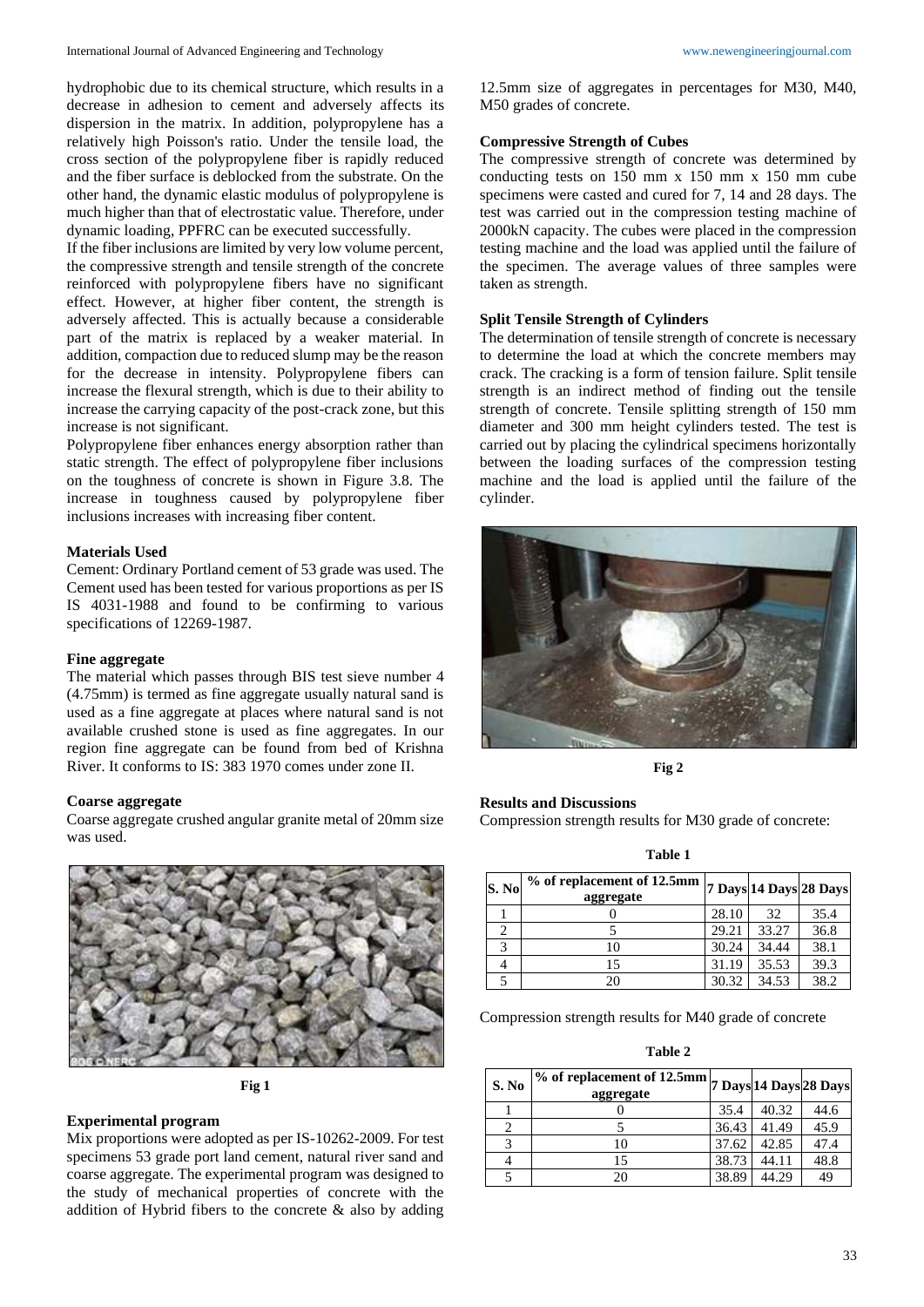hydrophobic due to its chemical structure, which results in a decrease in adhesion to cement and adversely affects its dispersion in the matrix. In addition, polypropylene has a relatively high Poisson's ratio. Under the tensile load, the cross section of the polypropylene fiber is rapidly reduced and the fiber surface is deblocked from the substrate. On the other hand, the dynamic elastic modulus of polypropylene is much higher than that of electrostatic value. Therefore, under dynamic loading, PPFRC can be executed successfully.

If the fiber inclusions are limited by very low volume percent, the compressive strength and tensile strength of the concrete reinforced with polypropylene fibers have no significant effect. However, at higher fiber content, the strength is adversely affected. This is actually because a considerable part of the matrix is replaced by a weaker material. In addition, compaction due to reduced slump may be the reason for the decrease in intensity. Polypropylene fibers can increase the flexural strength, which is due to their ability to increase the carrying capacity of the post-crack zone, but this increase is not significant.

Polypropylene fiber enhances energy absorption rather than static strength. The effect of polypropylene fiber inclusions on the toughness of concrete is shown in Figure 3.8. The increase in toughness caused by polypropylene fiber inclusions increases with increasing fiber content.

### **Materials Used**

Cement: Ordinary Portland cement of 53 grade was used. The Cement used has been tested for various proportions as per IS IS 4031-1988 and found to be confirming to various specifications of 12269-1987.

#### **Fine aggregate**

The material which passes through BIS test sieve number 4 (4.75mm) is termed as fine aggregate usually natural sand is used as a fine aggregate at places where natural sand is not available crushed stone is used as fine aggregates. In our region fine aggregate can be found from bed of Krishna River. It conforms to IS: 383 1970 comes under zone II.

#### **Coarse aggregate**

Coarse aggregate crushed angular granite metal of 20mm size was used.



**Fig 1**

## **Experimental program**

Mix proportions were adopted as per IS-10262-2009. For test specimens 53 grade port land cement, natural river sand and coarse aggregate. The experimental program was designed to the study of mechanical properties of concrete with the addition of Hybrid fibers to the concrete & also by adding 12.5mm size of aggregates in percentages for M30, M40, M50 grades of concrete.

#### **Compressive Strength of Cubes**

The compressive strength of concrete was determined by conducting tests on 150 mm x 150 mm x 150 mm cube specimens were casted and cured for 7, 14 and 28 days. The test was carried out in the compression testing machine of 2000kN capacity. The cubes were placed in the compression testing machine and the load was applied until the failure of the specimen. The average values of three samples were taken as strength.

## **Split Tensile Strength of Cylinders**

The determination of tensile strength of concrete is necessary to determine the load at which the concrete members may crack. The cracking is a form of tension failure. Split tensile strength is an indirect method of finding out the tensile strength of concrete. Tensile splitting strength of 150 mm diameter and 300 mm height cylinders tested. The test is carried out by placing the cylindrical specimens horizontally between the loading surfaces of the compression testing machine and the load is applied until the failure of the cylinder.



**Fig 2**

**Results and Discussions** Compression strength results for M30 grade of concrete:

**Table 1**

| S. No | % of replacement of 12.5mm<br>aggregate |       |       | 7 Days 14 Days 28 Days |
|-------|-----------------------------------------|-------|-------|------------------------|
|       |                                         | 28.10 | 32    | 35.4                   |
|       |                                         | 29.21 | 33.27 | 36.8                   |
|       | 10                                      | 30.24 | 34.44 | 38.1                   |
|       | 15                                      | 31.19 | 35.53 | 39.3                   |
|       | 20                                      | 30.32 | 34.53 | 38.2                   |

Compression strength results for M40 grade of concrete

**Table 2**

| S. No | <b>6</b> of replacement of 12.5mm 7 Days 14 Days 28 Days<br>aggregate |       |       |      |
|-------|-----------------------------------------------------------------------|-------|-------|------|
|       |                                                                       | 35.4  | 40.32 | 44.6 |
|       |                                                                       | 36.43 | 41.49 | 45.9 |
|       | 10                                                                    | 37.62 | 42.85 | 47.4 |
|       | 15                                                                    | 38.73 | 44.11 | 48.8 |
|       | 20                                                                    | 38.89 | 44.29 | 49   |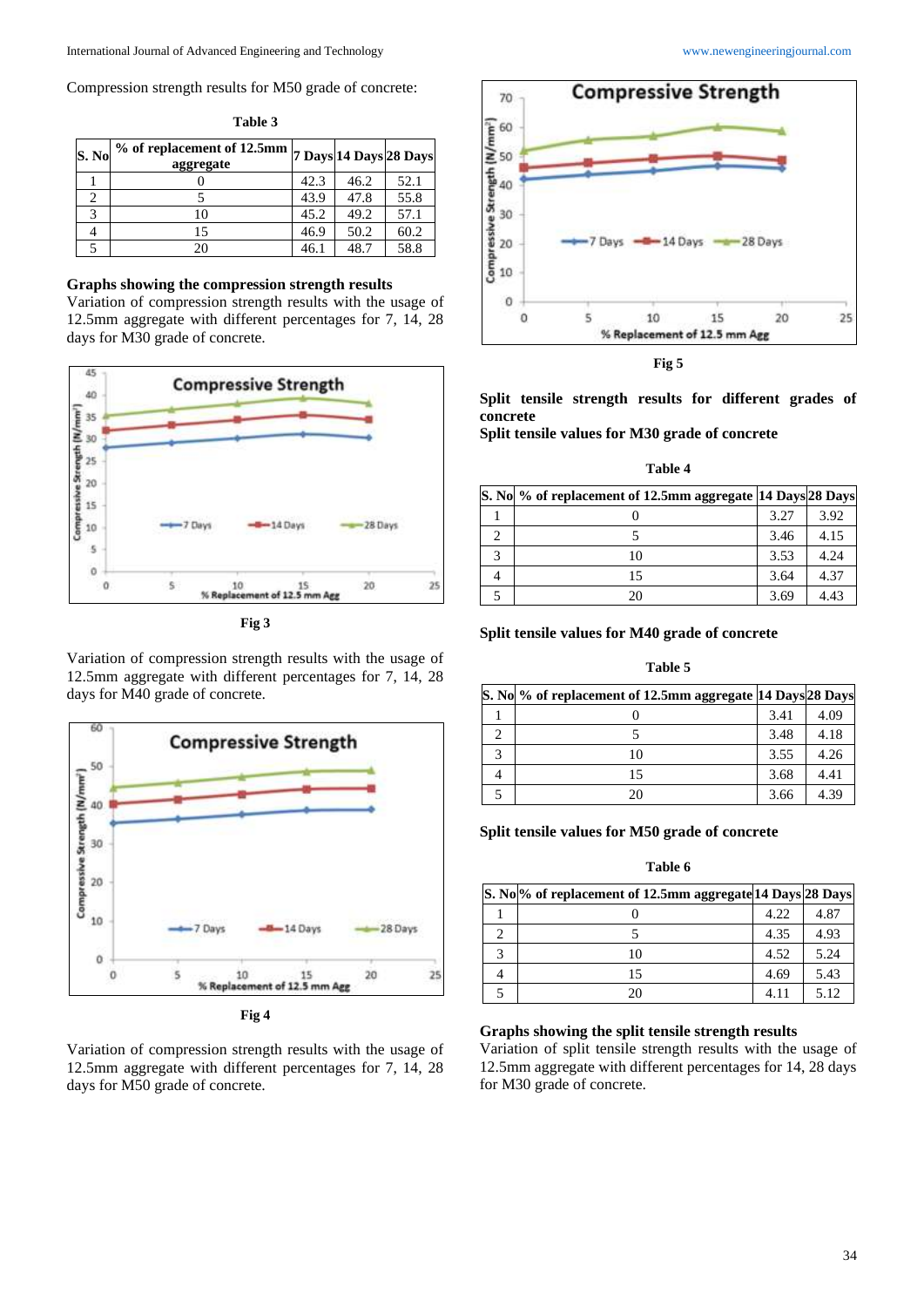Compression strength results for M50 grade of concrete:

| S. N <sub>0</sub> | $\sqrt[6]{\text{ }^\circ\text{}}$ of replacement of 12.5mm $\sqrt[7]{\text{}}$ Days $\sqrt[3]{28}$ Days<br>aggregate |      |      |      |
|-------------------|----------------------------------------------------------------------------------------------------------------------|------|------|------|
|                   |                                                                                                                      | 42.3 | 46.2 | 52.1 |
|                   |                                                                                                                      | 43.9 | 47.8 | 55.8 |
|                   | 10                                                                                                                   | 45.2 | 49.2 | 57.1 |
|                   | 15                                                                                                                   | 46.9 | 50.2 | 60.2 |
|                   | 20                                                                                                                   | 46.1 | 48.7 | 58.8 |

# **Table 3**

## **Graphs showing the compression strength results**

Variation of compression strength results with the usage of 12.5mm aggregate with different percentages for 7, 14, 28 days for M30 grade of concrete.



**Fig 3**

Variation of compression strength results with the usage of 12.5mm aggregate with different percentages for 7, 14, 28 days for M40 grade of concrete.



Variation of compression strength results with the usage of 12.5mm aggregate with different percentages for 7, 14, 28 days for M50 grade of concrete.





**Fig 5**

**Split tensile strength results for different grades of concrete** 

**Split tensile values for M30 grade of concrete**

| able |  |
|------|--|
|------|--|

| S. No % of replacement of 12.5mm aggregate 14 Days 28 Days |      |      |
|------------------------------------------------------------|------|------|
|                                                            | 3.27 | 3.92 |
|                                                            | 3.46 | 4.15 |
| 10                                                         | 3.53 | 4.24 |
| 15                                                         | 3.64 | 4.37 |
| 20                                                         | 3.69 | 4.43 |

## **Split tensile values for M40 grade of concrete**

#### **Table 5**

| S. No % of replacement of 12.5mm aggregate 14 Days 28 Days |      |      |
|------------------------------------------------------------|------|------|
|                                                            | 3.41 | 4.09 |
|                                                            | 3.48 | 4.18 |
| 10                                                         | 3.55 | 4.26 |
| 15                                                         | 3.68 | 4.41 |
| 20                                                         | 3.66 | 4.39 |

## **Split tensile values for M50 grade of concrete**

### **Table 6**

| S. No <sup>ol</sup> of replacement of 12.5mm aggregate 14 Days 28 Days |      |      |
|------------------------------------------------------------------------|------|------|
|                                                                        | 4.22 | 4.87 |
|                                                                        | 4.35 | 4.93 |
| 10                                                                     | 4.52 | 5.24 |
| 15                                                                     | 4.69 | 5.43 |
| 20                                                                     | 4.11 | 5.12 |

## **Graphs showing the split tensile strength results**

Variation of split tensile strength results with the usage of 12.5mm aggregate with different percentages for 14, 28 days for M30 grade of concrete.